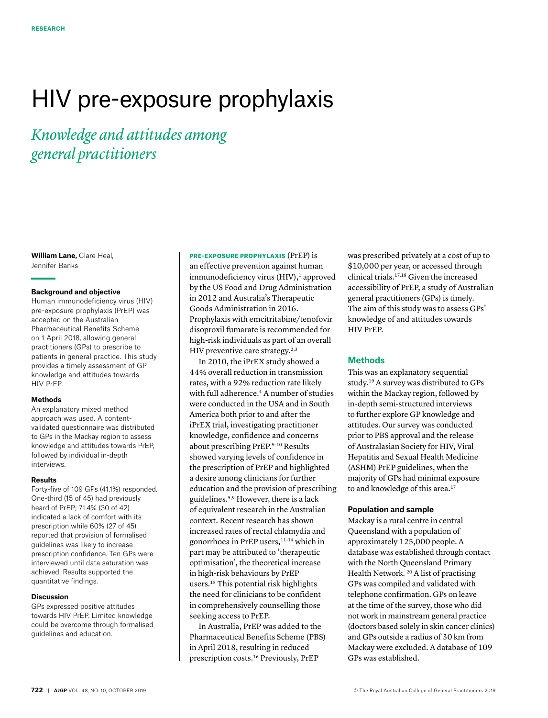# HIV pre-exposure prophylaxis

*Knowledge and attitudes among general practitioners*

**William Lane,** Clare Heal, Jennifer Banks

# **Background and objective**

Human immunodeficiency virus (HIV) pre-exposure prophylaxis (PrEP) was accepted on the Australian Pharmaceutical Benefits Scheme on 1 April 2018, allowing general practitioners (GPs) to prescribe to patients in general practice. This study provides a timely assessment of GP knowledge and attitudes towards HIV PrEP.

#### **Methods**

An explanatory mixed method approach was used. A contentvalidated questionnaire was distributed to GPs in the Mackay region to assess knowledge and attitudes towards PrEP, followed by individual in-depth interviews.

#### **Results**

Forty-five of 109 GPs (41.1%) responded. One-third (15 of 45) had previously heard of PrEP; 71.4% (30 of 42) indicated a lack of comfort with its prescription while 60% (27 of 45) reported that provision of formalised guidelines was likely to increase prescription confidence. Ten GPs were interviewed until data saturation was achieved. Results supported the quantitative findings.

#### **Discussion**

GPs expressed positive attitudes towards HIV PrEP. Limited knowledge could be overcome through formalised guidelines and education.

PRE-EXPOSURE PROPHYLAXIS (PrEP) is an effective prevention against human  $immunodeficiency$  virus  $(HIV)$ ,<sup>1</sup> approved by the US Food and Drug Administration in 2012 and Australia's Therapeutic Goods Administration in 2016. Prophylaxis with emcitritabine/tenofovir disoproxil fumarate is recommended for high-risk individuals as part of an overall HIV preventive care strategy. $2,3$ 

In 2010, the iPrEX study showed a 44% overall reduction in transmission rates, with a 92% reduction rate likely with full adherence.<sup>4</sup> A number of studies were conducted in the USA and in South America both prior to and after the iPrEX trial, investigating practitioner knowledge, confidence and concerns about prescribing PrEP.5–10 Results showed varying levels of confidence in the prescription of PrEP and highlighted a desire among clinicians for further education and the provision of prescribing guidelines.5,9 However, there is a lack of equivalent research in the Australian context. Recent research has shown increased rates of rectal chlamydia and gonorrhoea in PrEP users,11–14 which in part may be attributed to 'therapeutic optimisation', the theoretical increase in high-risk behaviours by PrEP users.15 This potential risk highlights the need for clinicians to be confident in comprehensively counselling those seeking access to PrEP.

In Australia, PrEP was added to the Pharmaceutical Benefits Scheme (PBS) in April 2018, resulting in reduced prescription costs.16 Previously, PrEP

was prescribed privately at a cost of up to \$10,000 per year, or accessed through clinical trials.17,18 Given the increased accessibility of PrEP, a study of Australian general practitioners (GPs) is timely. The aim of this study was to assess GPs' knowledge of and attitudes towards HIV PrEP.

# **Methods**

This was an explanatory sequential study.19 A survey was distributed to GPs within the Mackay region, followed by in-depth semi-structured interviews to further explore GP knowledge and attitudes. Our survey was conducted prior to PBS approval and the release of Australasian Society for HIV, Viral Hepatitis and Sexual Health Medicine (ASHM) PrEP guidelines, when the majority of GPs had minimal exposure to and knowledge of this area.<sup>17</sup>

# **Population and sample**

Mackay is a rural centre in central Queensland with a population of approximately 125,000 people. A database was established through contact with the North Queensland Primary Health Network. 20 A list of practising GPs was compiled and validated with telephone confirmation. GPs on leave at the time of the survey, those who did not work in mainstream general practice (doctors based solely in skin cancer clinics) and GPs outside a radius of 30 km from Mackay were excluded. A database of 109 GPs was established.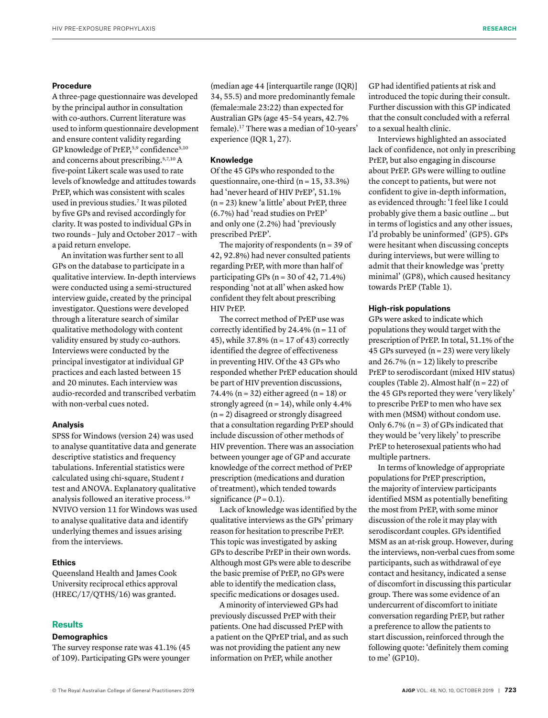## **Procedure**

A three-page questionnaire was developed by the principal author in consultation with co-authors. Current literature was used to inform questionnaire development and ensure content validity regarding GP knowledge of PrEP,<sup>5,9</sup> confidence<sup>5,10</sup> and concerns about prescribing.5,7,10 A five-point Likert scale was used to rate levels of knowledge and attitudes towards PrEP, which was consistent with scales used in previous studies.<sup>7</sup> It was piloted by five GPs and revised accordingly for clarity. It was posted to individual GPs in two rounds – July and October 2017 – with a paid return envelope.

An invitation was further sent to all GPs on the database to participate in a qualitative interview. In-depth interviews were conducted using a semi-structured interview guide, created by the principal investigator. Questions were developed through a literature search of similar qualitative methodology with content validity ensured by study co-authors. Interviews were conducted by the principal investigator at individual GP practices and each lasted between 15 and 20 minutes. Each interview was audio-recorded and transcribed verbatim with non-verbal cues noted.

# **Analysis**

SPSS for Windows (version 24) was used to analyse quantitative data and generate descriptive statistics and frequency tabulations. Inferential statistics were calculated using chi-square, Student *t* test and ANOVA. Explanatory qualitative analysis followed an iterative process.19 NVIVO version 11 for Windows was used to analyse qualitative data and identify underlying themes and issues arising from the interviews.

# **Ethics**

Queensland Health and James Cook University reciprocal ethics approval (HREC/17/QTHS/16) was granted.

# **Results**

# **Demographics**

The survey response rate was 41.1% (45 of 109). Participating GPs were younger

(median age 44 [interquartile range (IQR)] 34, 55.5) and more predominantly female (female:male 23:22) than expected for Australian GPs (age 45–54 years, 42.7% female).17 There was a median of 10-years' experience (IQR 1, 27).

# **Knowledge**

Of the 45 GPs who responded to the questionnaire, one-third ( $n = 15, 33.3\%$ ) had 'never heard of HIV PrEP', 51.1% (n = 23) knew 'a little' about PrEP, three (6.7%) had 'read studies on PrEP' and only one (2.2%) had 'previously prescribed PrEP'.

The majority of respondents ( $n = 39$  of 42, 92.8%) had never consulted patients regarding PrEP, with more than half of participating GPs ( $n = 30$  of 42, 71.4%) responding 'not at all' when asked how confident they felt about prescribing HIV PrEP.

The correct method of PrEP use was correctly identified by  $24.4\%$  (n = 11 of 45), while 37.8% (n = 17 of 43) correctly identified the degree of effectiveness in preventing HIV. Of the 43 GPs who responded whether PrEP education should be part of HIV prevention discussions, 74.4% ( $n = 32$ ) either agreed ( $n = 18$ ) or strongly agreed ( $n = 14$ ), while only 4.4%  $(n = 2)$  disagreed or strongly disagreed that a consultation regarding PrEP should include discussion of other methods of HIV prevention. There was an association between younger age of GP and accurate knowledge of the correct method of PrEP prescription (medications and duration of treatment), which tended towards significance  $(P = 0.1)$ .

Lack of knowledge was identified by the qualitative interviews as the GPs' primary reason for hesitation to prescribe PrEP. This topic was investigated by asking GPs to describe PrEP in their own words. Although most GPs were able to describe the basic premise of PrEP, no GPs were able to identify the medication class, specific medications or dosages used.

A minority of interviewed GPs had previously discussed PrEP with their patients. One had discussed PrEP with a patient on the QPrEP trial, and as such was not providing the patient any new information on PrEP, while another

GP had identified patients at risk and introduced the topic during their consult. Further discussion with this GP indicated that the consult concluded with a referral to a sexual health clinic.

Interviews highlighted an associated lack of confidence, not only in prescribing PrEP, but also engaging in discourse about PrEP. GPs were willing to outline the concept to patients, but were not confident to give in-depth information, as evidenced through: 'I feel like I could probably give them a basic outline … but in terms of logistics and any other issues, I'd probably be uninformed' (GP5). GPs were hesitant when discussing concepts during interviews, but were willing to admit that their knowledge was 'pretty minimal' (GP8), which caused hesitancy towards PrEP (Table 1).

### **High-risk populations**

GPs were asked to indicate which populations they would target with the prescription of PrEP. In total, 51.1% of the 45 GPs surveyed ( $n = 23$ ) were very likely and 26.7% ( $n = 12$ ) likely to prescribe PrEP to serodiscordant (mixed HIV status) couples (Table 2). Almost half ( $n = 22$ ) of the 45 GPs reported they were 'very likely' to prescribe PrEP to men who have sex with men (MSM) without condom use. Only 6.7% ( $n = 3$ ) of GPs indicated that they would be 'very likely' to prescribe PrEP to heterosexual patients who had multiple partners.

In terms of knowledge of appropriate populations for PrEP prescription, the majority of interview participants identified MSM as potentially benefiting the most from PrEP, with some minor discussion of the role it may play with serodiscordant couples. GPs identified MSM as an at-risk group. However, during the interviews, non-verbal cues from some participants, such as withdrawal of eye contact and hesitancy, indicated a sense of discomfort in discussing this particular group. There was some evidence of an undercurrent of discomfort to initiate conversation regarding PrEP, but rather a preference to allow the patients to start discussion, reinforced through the following quote: 'definitely them coming to me' (GP10).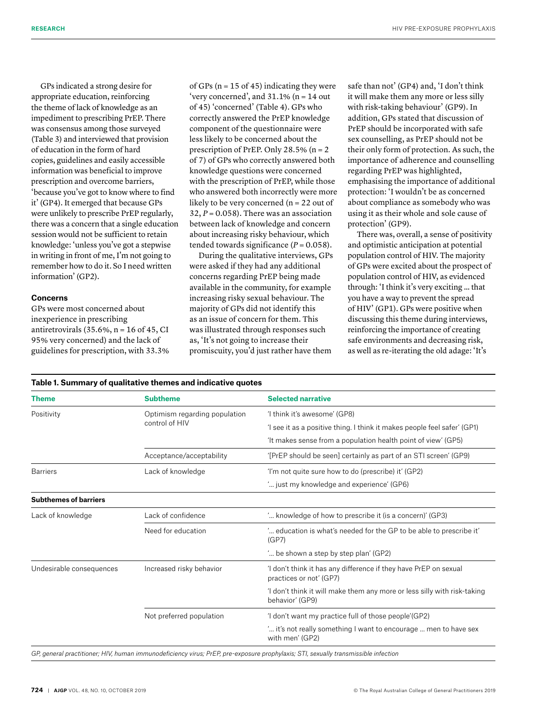GPs indicated a strong desire for appropriate education, reinforcing the theme of lack of knowledge as an impediment to prescribing PrEP. There was consensus among those surveyed (Table 3) and interviewed that provision of education in the form of hard copies, guidelines and easily accessible information was beneficial to improve prescription and overcome barriers, 'because you've got to know where to find it' (GP4). It emerged that because GPs were unlikely to prescribe PrEP regularly, there was a concern that a single education session would not be sufficient to retain knowledge: 'unless you've got a stepwise in writing in front of me, I'm not going to remember how to do it. So I need written information' (GP2).

## **Concerns**

GPs were most concerned about inexperience in prescribing antiretrovirals  $(35.6\%, n = 16$  of  $45$ , CI 95% very concerned) and the lack of guidelines for prescription, with 33.3%

of GPs ( $n = 15$  of 45) indicating they were 'very concerned', and  $31.1\%$  (n = 14 out of 45) 'concerned' (Table 4). GPs who correctly answered the PrEP knowledge component of the questionnaire were less likely to be concerned about the prescription of PrEP. Only 28.5% ( $n = 2$ ) of 7) of GPs who correctly answered both knowledge questions were concerned with the prescription of PrEP, while those who answered both incorrectly were more likely to be very concerned (n = 22 out of  $32, P = 0.058$ . There was an association between lack of knowledge and concern about increasing risky behaviour, which tended towards significance  $(P = 0.058)$ .

During the qualitative interviews, GPs were asked if they had any additional concerns regarding PrEP being made available in the community, for example increasing risky sexual behaviour. The majority of GPs did not identify this as an issue of concern for them. This was illustrated through responses such as, 'It's not going to increase their promiscuity, you'd just rather have them

safe than not' (GP4) and, 'I don't think it will make them any more or less silly with risk-taking behaviour' (GP9). In addition, GPs stated that discussion of PrEP should be incorporated with safe sex counselling, as PrEP should not be their only form of protection. As such, the importance of adherence and counselling regarding PrEP was highlighted, emphasising the importance of additional protection: 'I wouldn't be as concerned about compliance as somebody who was using it as their whole and sole cause of protection' (GP9).

There was, overall, a sense of positivity and optimistic anticipation at potential population control of HIV. The majority of GPs were excited about the prospect of population control of HIV, as evidenced through: 'I think it's very exciting … that you have a way to prevent the spread of HIV' (GP1). GPs were positive when discussing this theme during interviews, reinforcing the importance of creating safe environments and decreasing risk, as well as re-iterating the old adage: 'It's

| <b>Theme</b>                 | <b>Subtheme</b>                                 | <b>Selected narrative</b>                                                                   |  |  |
|------------------------------|-------------------------------------------------|---------------------------------------------------------------------------------------------|--|--|
| Positivity                   | Optimism regarding population<br>control of HIV | 'I think it's awesome' (GP8)                                                                |  |  |
|                              |                                                 | 'I see it as a positive thing. I think it makes people feel safer' (GP1)                    |  |  |
|                              |                                                 | 'It makes sense from a population health point of view' (GP5)                               |  |  |
|                              | Acceptance/acceptability                        | '[PrEP should be seen] certainly as part of an STI screen' (GP9)                            |  |  |
| <b>Barriers</b>              | Lack of knowledge                               | 'I'm not quite sure how to do (prescribe) it' (GP2)                                         |  |  |
|                              |                                                 | " just my knowledge and experience' (GP6)                                                   |  |  |
| <b>Subthemes of barriers</b> |                                                 |                                                                                             |  |  |
| Lack of knowledge            | Lack of confidence                              | ' knowledge of how to prescribe it (is a concern)' (GP3)                                    |  |  |
|                              | Need for education                              | ' education is what's needed for the GP to be able to prescribe it'<br>(GP7)                |  |  |
|                              |                                                 | " be shown a step by step plan' (GP2)                                                       |  |  |
| Undesirable consequences     | Increased risky behavior                        | 'I don't think it has any difference if they have PrEP on sexual<br>practices or not' (GP7) |  |  |
|                              |                                                 | 'I don't think it will make them any more or less silly with risk-taking<br>behavior' (GP9) |  |  |
|                              | Not preferred population                        | 'I don't want my practice full of those people'(GP2)                                        |  |  |
|                              |                                                 | " it's not really something I want to encourage  men to have sex<br>with men' (GP2)         |  |  |

**Table 1. Summary of qualitative themes and indicative quotes**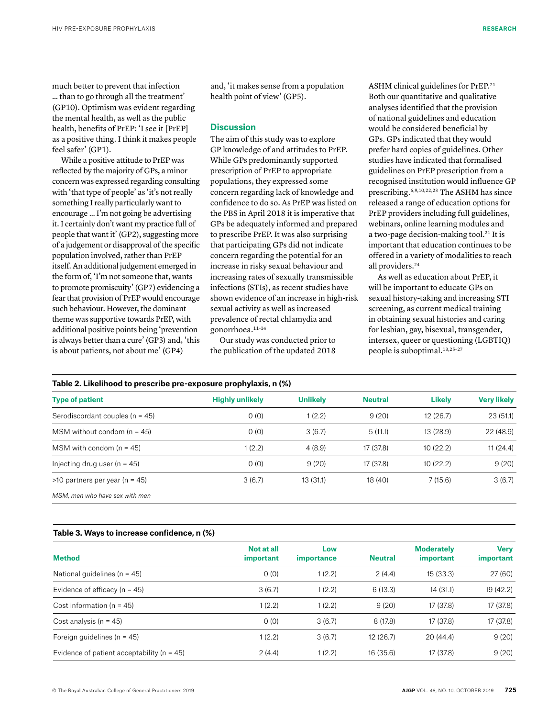much better to prevent that infection … than to go through all the treatment' (GP10). Optimism was evident regarding the mental health, as well as the public health, benefits of PrEP: 'I see it [PrEP] as a positive thing. I think it makes people feel safer' (GP1).

While a positive attitude to PrEP was reflected by the majority of GPs, a minor concern was expressed regarding consulting with 'that type of people' as 'it's not really something I really particularly want to encourage … I'm not going be advertising it. I certainly don't want my practice full of people that want it' (GP2), suggesting more of a judgement or disapproval of the specific population involved, rather than PrEP itself. An additional judgement emerged in the form of, 'I'm not someone that, wants to promote promiscuity' (GP7) evidencing a fear that provision of PrEP would encourage such behaviour. However, the dominant theme was supportive towards PrEP, with additional positive points being 'prevention is always better than a cure' (GP3) and, 'this is about patients, not about me' (GP4)

and, 'it makes sense from a population health point of view' (GP5).

# **Discussion**

The aim of this study was to explore GP knowledge of and attitudes to PrEP. While GPs predominantly supported prescription of PrEP to appropriate populations, they expressed some concern regarding lack of knowledge and confidence to do so. As PrEP was listed on the PBS in April 2018 it is imperative that GPs be adequately informed and prepared to prescribe PrEP. It was also surprising that participating GPs did not indicate concern regarding the potential for an increase in risky sexual behaviour and increasing rates of sexually transmissible infections (STIs), as recent studies have shown evidence of an increase in high-risk sexual activity as well as increased prevalence of rectal chlamydia and gonorrhoea.<sup>11-14</sup>

Our study was conducted prior to the publication of the updated 2018 ASHM clinical guidelines for PrEP.21 Both our quantitative and qualitative analyses identified that the provision of national guidelines and education would be considered beneficial by GPs. GPs indicated that they would prefer hard copies of guidelines. Other studies have indicated that formalised guidelines on PrEP prescription from a recognised institution would influence GP prescribing.6,9,10,22,23 The ASHM has since released a range of education options for PrEP providers including full guidelines, webinars, online learning modules and a two-page decision-making tool.21 It is important that education continues to be offered in a variety of modalities to reach all providers.24

As well as education about PrEP, it will be important to educate GPs on sexual history-taking and increasing STI screening, as current medical training in obtaining sexual histories and caring for lesbian, gay, bisexual, transgender, intersex, queer or questioning (LGBTIQ) people is suboptimal.13,25–27

#### **Table 2. Likelihood to prescribe pre-exposure prophylaxis, n (%)**

| <b>Type of patient</b>              | <b>Highly unlikely</b> | <b>Unlikely</b> | <b>Neutral</b> | <b>Likely</b> | <b>Very likely</b> |
|-------------------------------------|------------------------|-----------------|----------------|---------------|--------------------|
| Serodiscordant couples ( $n = 45$ ) | 0(0)                   | 1(2.2)          | 9(20)          | 12 (26.7)     | 23(51.1)           |
| MSM without condom ( $n = 45$ )     | 0(0)                   | 3(6.7)          | 5(11.1)        | 13 (28.9)     | 22 (48.9)          |
| MSM with condom $(n = 45)$          | 1(2.2)                 | 4(8.9)          | 17 (37.8)      | 10(22.2)      | 11(24.4)           |
| Injecting drug user $(n = 45)$      | 0(0)                   | 9(20)           | 17 (37.8)      | 10(22.2)      | 9(20)              |
| $>10$ partners per year (n = 45)    | 3(6.7)                 | 13(31.1)        | 18 (40)        | 7(15.6)       | 3(6.7)             |
| MSM men who have sex with men       |                        |                 |                |               |                    |

**Table 3. Ways to increase confidence, n (%)**

| $14000$ of 11419 to more ago componently if $1/9$ |                          |                |                                       |                                 |  |  |
|---------------------------------------------------|--------------------------|----------------|---------------------------------------|---------------------------------|--|--|
| Not at all<br><i>important</i>                    | Low<br><i>importance</i> | <b>Neutral</b> | <b>Moderately</b><br><i>important</i> | <b>Verv</b><br><i>important</i> |  |  |
| 0(0)                                              | 1(2.2)                   | 2(4.4)         | 15 (33.3)                             | 27(60)                          |  |  |
| 3(6.7)                                            | 1(2.2)                   | 6 (13.3)       | 14 (31.1)                             | 19 (42.2)                       |  |  |
| 1(2.2)                                            | 1(2.2)                   | 9(20)          | 17 (37.8)                             | 17 (37.8)                       |  |  |
| 0(0)                                              | 3(6.7)                   | 8(17.8)        | 17 (37.8)                             | 17 (37.8)                       |  |  |
| 1(2.2)                                            | 3(6.7)                   | 12(26.7)       | 20 (44.4)                             | 9(20)                           |  |  |
| 2(4.4)                                            | 1(2.2)                   | 16 (35.6)      | 17 (37.8)                             | 9(20)                           |  |  |
|                                                   |                          |                |                                       |                                 |  |  |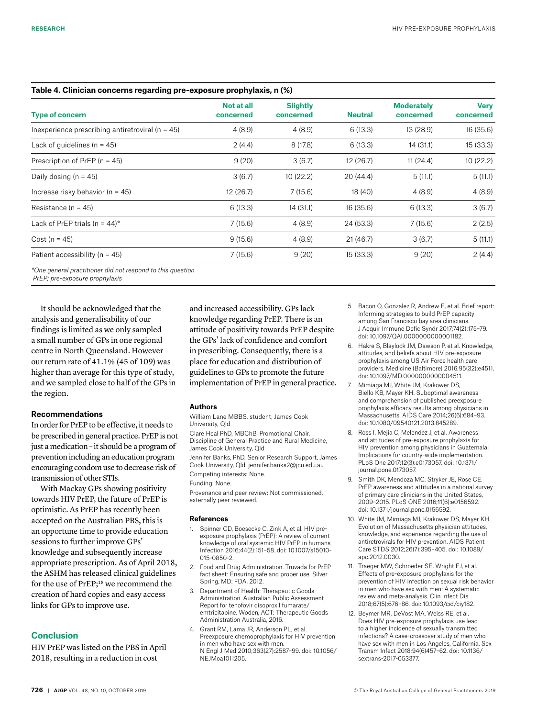| Table 4. Clinician concerns regarding pre-exposure prophylaxis, n (%) |                         |                              |                |                                |                          |  |
|-----------------------------------------------------------------------|-------------------------|------------------------------|----------------|--------------------------------|--------------------------|--|
| <b>Type of concern</b>                                                | Not at all<br>concerned | <b>Slightly</b><br>concerned | <b>Neutral</b> | <b>Moderately</b><br>concerned | <b>Very</b><br>concerned |  |
| Inexperience prescribing antiretroviral ( $n = 45$ )                  | 4(8.9)                  | 4(8.9)                       | 6(13.3)        | 13 (28.9)                      | 16 (35.6)                |  |
| Lack of quidelines ( $n = 45$ )                                       | 2(4.4)                  | 8(17.8)                      | 6(13.3)        | 14 (31.1)                      | 15 (33.3)                |  |
| Prescription of PrEP ( $n = 45$ )                                     | 9(20)                   | 3(6.7)                       | 12 (26.7)      | 11(24.4)                       | 10(22.2)                 |  |
| Daily dosing $(n = 45)$                                               | 3(6.7)                  | 10(22.2)                     | 20 (44.4)      | 5(11.1)                        | 5(11.1)                  |  |
| Increase risky behavior ( $n = 45$ )                                  | 12 (26.7)               | 7(15.6)                      | 18 (40)        | 4(8.9)                         | 4(8.9)                   |  |
| Resistance ( $n = 45$ )                                               | 6(13.3)                 | 14 (31.1)                    | 16 (35.6)      | 6(13.3)                        | 3(6.7)                   |  |
| Lack of PrEP trials (n = $44$ )*                                      | 7(15.6)                 | 4(8.9)                       | 24 (53.3)      | 7(15.6)                        | 2(2.5)                   |  |
| $Cost (n = 45)$                                                       | 9(15.6)                 | 4(8.9)                       | 21(46.7)       | 3(6.7)                         | 5(11.1)                  |  |
| Patient accessibility ( $n = 45$ )                                    | 7(15.6)                 | 9(20)                        | 15 (33.3)      | 9(20)                          | 2(4.4)                   |  |
|                                                                       |                         |                              |                |                                |                          |  |

*\*One general practitioner did not respond to this question* 

 *PrEP; pre-exposure prophylaxis*

It should be acknowledged that the analysis and generalisability of our findings is limited as we only sampled a small number of GPs in one regional centre in North Queensland. However our return rate of 41.1% (45 of 109) was higher than average for this type of study, and we sampled close to half of the GPs in the region.

# **Recommendations**

In order for PrEP to be effective, it needs to be prescribed in general practice. PrEP is not just a medication – it should be a program of prevention including an education program encouraging condom use to decrease risk of transmission of other STIs.

With Mackay GPs showing positivity towards HIV PrEP, the future of PrEP is optimistic. As PrEP has recently been accepted on the Australian PBS, this is an opportune time to provide education sessions to further improve GPs' knowledge and subsequently increase appropriate prescription. As of April 2018, the ASHM has released clinical guidelines for the use of PrEP;<sup>18</sup> we recommend the creation of hard copies and easy access links for GPs to improve use.

# **Conclusion**

HIV PrEP was listed on the PBS in April 2018, resulting in a reduction in cost

and increased accessibility. GPs lack knowledge regarding PrEP. There is an attitude of positivity towards PrEP despite the GPs' lack of confidence and comfort in prescribing. Consequently, there is a place for education and distribution of guidelines to GPs to promote the future implementation of PrEP in general practice.

## **Authors**

William Lane MBBS, student, James Cook University, Qld

Clare Heal PhD, MBChB, Promotional Chair, Discipline of General Practice and Rural Medicine, James Cook University, Qld Jennifer Banks, PhD, Senior Research Support, James Cook University, Qld. jennifer.banks2@jcu.edu.au Competing interests: None.

Funding: None.

Provenance and peer review: Not commissioned, externally peer reviewed.

#### **References**

- 1. Spinner CD, Boesecke C, Zink A, et al. HIV preexposure prophylaxis (PrEP): A review of current knowledge of oral systemic HIV PrEP in humans. Infection 2016;44(2):151–58. doi: 10.1007/s15010- 015-0850-2.
- 2. Food and Drug Administration. Truvada for PrEP fact sheet: Ensuring safe and proper use. Silver Spring, MD: FDA, 2012.
- 3. Department of Health: Therapeutic Goods Administration. Australian Public Assessment Report for tenofovir disoproxil fumarate/ emtricitabine. Woden, ACT: Therapeutic Goods Administration Australia, 2016.
- 4. Grant RM, Lama JR, Anderson PL, et al. Preexposure chemoprophylaxis for HIV prevention in men who have sex with men. N Engl J Med 2010;363(27):2587–99. doi: 10.1056/ NEJMoa1011205.
- 5. Bacon O, Gonzalez R, Andrew E, et al. Brief report: Informing strategies to build PrEP capacity among San Francisco bay area clinicians. J Acquir Immune Defic Syndr 2017;74(2):175–79. doi: 10.1097/QAI.0000000000001182.
- 6. Hakre S, Blaylock JM, Dawson P, et al. Knowledge, attitudes, and beliefs about HIV pre-exposure prophylaxis among US Air Force health care providers. Medicine (Baltimore) 2016;95(32):e4511. doi: 10.1097/MD.0000000000004511.
- 7. Mimiaga MJ, White JM, Krakower DS, Biello KB, Mayer KH. Suboptimal awareness and comprehension of published preexposure prophylaxis efficacy results among physicians in Massachusetts. AIDS Care 2014;26(6):684–93. doi: 10.1080/09540121.2013.845289.
- 8. Ross I, Mejia C, Melendez J, et al. Awareness and attitudes of pre-exposure prophylaxis for HIV prevention among physicians in Guatemala: Implications for country-wide implementation. PLoS One 2017;12(3):e0173057. doi: 10.1371/ journal.pone.0173057.
- 9. Smith DK, Mendoza MC, Stryker JE, Rose CE. PrEP awareness and attitudes in a national survey of primary care clinicians in the United States, 2009–2015. PLoS ONE 2016;11(6):e0156592. doi: 10.1371/journal.pone.0156592.
- 10. White JM, Mimiaga MJ, Krakower DS, Mayer KH. Evolution of Massachusetts physician attitudes, knowledge, and experience regarding the use of antiretrovirals for HIV prevention. AIDS Patient Care STDS 2012;26(7):395–405. doi: 10.1089/ apc.2012.0030.
- 11. Traeger MW, Schroeder SE, Wright EJ, et al. Effects of pre-exposure prophylaxis for the prevention of HIV infection on sexual risk behavior in men who have sex with men: A systematic review and meta-analysis. Clin Infect Dis 2018;67(5):676–86. doi: 10.1093/cid/ciy182.
- 12. Beymer MR, DeVost MA, Weiss RE, et al. Does HIV pre-exposure prophylaxis use lead to a higher incidence of sexually transmitted infections? A case-crossover study of men who have sex with men in Los Angeles, California. Sex Transm Infect 2018;94(6)457–62. doi: 10.1136/ sextrans-2017-053377.